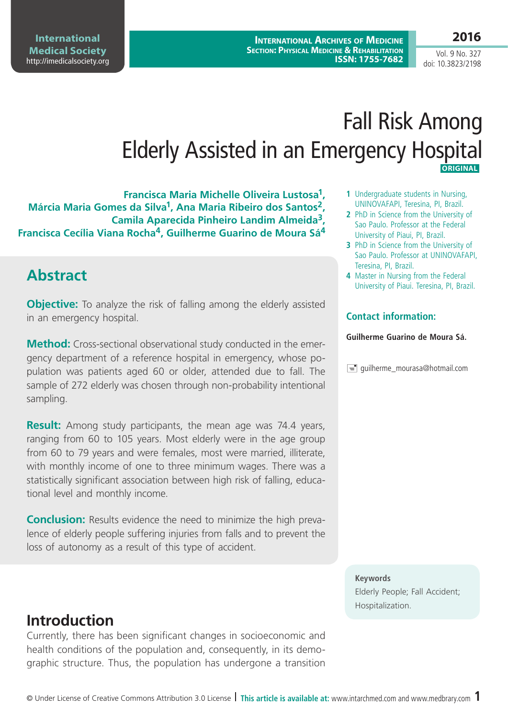**International Medical Society**  <http://imedicalsociety.org>

# Fall Risk Among Elderly Assisted in an Emergency Hospital **ORIGINAL**

**Francisca Maria Michelle Oliveira Lustosa1, Márcia Maria Gomes da Silva1, Ana Maria Ribeiro dos Santos2, Camila Aparecida Pinheiro Landim Almeida3, Francisca Cecília Viana Rocha4, Guilherme Guarino de Moura Sá4**

# **Abstract**

**Objective:** To analyze the risk of falling among the elderly assisted in an emergency hospital.

**Method:** Cross-sectional observational study conducted in the emergency department of a reference hospital in emergency, whose population was patients aged 60 or older, attended due to fall. The sample of 272 elderly was chosen through non-probability intentional sampling.

**Result:** Among study participants, the mean age was 74.4 years, ranging from 60 to 105 years. Most elderly were in the age group from 60 to 79 years and were females, most were married, illiterate, with monthly income of one to three minimum wages. There was a statistically significant association between high risk of falling, educational level and monthly income.

**Conclusion:** Results evidence the need to minimize the high prevalence of elderly people suffering injuries from falls and to prevent the loss of autonomy as a result of this type of accident.

- **1** Undergraduate students in Nursing, UNINOVAFAPI, Teresina, PI, Brazil.
- **2** PhD in Science from the University of Sao Paulo. Professor at the Federal University of Piaui, PI, Brazil.
- **3** PhD in Science from the University of Sao Paulo. Professor at UNINOVAFAPI, Teresina, PI, Brazil.
- **4** Master in Nursing from the Federal University of Piaui. Teresina, PI, Brazil.

#### **Contact information:**

#### **Guilherme Guarino de Moura Sá.**

 $\equiv$  quilherme\_mourasa@hotmail.com

#### **Keywords**

Elderly People; Fall Accident; Hospitalization.

# **Introduction**

Currently, there has been significant changes in socioeconomic and health conditions of the population and, consequently, in its demographic structure. Thus, the population has undergone a transition

### **2016**

Vol. 9 No. 327 doi: 10.3823/2198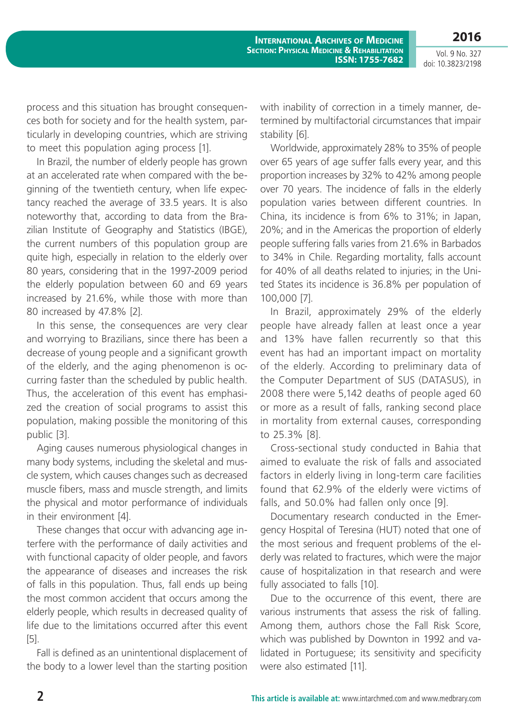Vol. 9 No. 327 doi: 10.3823/2198

**2016**

process and this situation has brought consequences both for society and for the health system, particularly in developing countries, which are striving to meet this population aging process [1].

In Brazil, the number of elderly people has grown at an accelerated rate when compared with the beginning of the twentieth century, when life expectancy reached the average of 33.5 years. It is also noteworthy that, according to data from the Brazilian Institute of Geography and Statistics (IBGE), the current numbers of this population group are quite high, especially in relation to the elderly over 80 years, considering that in the 1997-2009 period the elderly population between 60 and 69 years increased by 21.6%, while those with more than 80 increased by 47.8% [2].

In this sense, the consequences are very clear and worrying to Brazilians, since there has been a decrease of young people and a significant growth of the elderly, and the aging phenomenon is occurring faster than the scheduled by public health. Thus, the acceleration of this event has emphasized the creation of social programs to assist this population, making possible the monitoring of this public [3].

Aging causes numerous physiological changes in many body systems, including the skeletal and muscle system, which causes changes such as decreased muscle fibers, mass and muscle strength, and limits the physical and motor performance of individuals in their environment [4].

These changes that occur with advancing age interfere with the performance of daily activities and with functional capacity of older people, and favors the appearance of diseases and increases the risk of falls in this population. Thus, fall ends up being the most common accident that occurs among the elderly people, which results in decreased quality of life due to the limitations occurred after this event [5].

Fall is defined as an unintentional displacement of the body to a lower level than the starting position with inability of correction in a timely manner, determined by multifactorial circumstances that impair stability [6].

Worldwide, approximately 28% to 35% of people over 65 years of age suffer falls every year, and this proportion increases by 32% to 42% among people over 70 years. The incidence of falls in the elderly population varies between different countries. In China, its incidence is from 6% to 31%; in Japan, 20%; and in the Americas the proportion of elderly people suffering falls varies from 21.6% in Barbados to 34% in Chile. Regarding mortality, falls account for 40% of all deaths related to injuries; in the United States its incidence is 36.8% per population of 100,000 [7].

In Brazil, approximately 29% of the elderly people have already fallen at least once a year and 13% have fallen recurrently so that this event has had an important impact on mortality of the elderly. According to preliminary data of the Computer Department of SUS (DATASUS), in 2008 there were 5,142 deaths of people aged 60 or more as a result of falls, ranking second place in mortality from external causes, corresponding to 25.3% [8].

Cross-sectional study conducted in Bahia that aimed to evaluate the risk of falls and associated factors in elderly living in long-term care facilities found that 62.9% of the elderly were victims of falls, and 50.0% had fallen only once [9].

Documentary research conducted in the Emergency Hospital of Teresina (HUT) noted that one of the most serious and frequent problems of the elderly was related to fractures, which were the major cause of hospitalization in that research and were fully associated to falls [10].

Due to the occurrence of this event, there are various instruments that assess the risk of falling. Among them, authors chose the Fall Risk Score, which was published by Downton in 1992 and validated in Portuguese; its sensitivity and specificity were also estimated [11].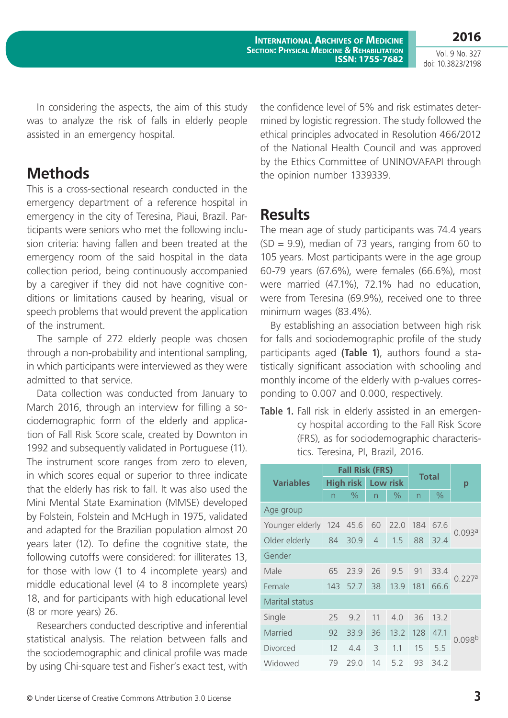Vol. 9 No. 327 doi: 10.3823/2198

**2016**

In considering the aspects, the aim of this study was to analyze the risk of falls in elderly people assisted in an emergency hospital.

### **Methods**

This is a cross-sectional research conducted in the emergency department of a reference hospital in emergency in the city of Teresina, Piaui, Brazil. Participants were seniors who met the following inclusion criteria: having fallen and been treated at the emergency room of the said hospital in the data collection period, being continuously accompanied by a caregiver if they did not have cognitive conditions or limitations caused by hearing, visual or speech problems that would prevent the application of the instrument.

The sample of 272 elderly people was chosen through a non-probability and intentional sampling, in which participants were interviewed as they were admitted to that service.

Data collection was conducted from January to March 2016, through an interview for filling a sociodemographic form of the elderly and application of Fall Risk Score scale, created by Downton in 1992 and subsequently validated in Portuguese (11). The instrument score ranges from zero to eleven, in which scores equal or superior to three indicate that the elderly has risk to fall. It was also used the Mini Mental State Examination (MMSE) developed by Folstein, Folstein and McHugh in 1975, validated and adapted for the Brazilian population almost 20 years later (12). To define the cognitive state, the following cutoffs were considered: for illiterates 13, for those with low (1 to 4 incomplete years) and middle educational level (4 to 8 incomplete years) 18, and for participants with high educational level (8 or more years) 26.

Researchers conducted descriptive and inferential statistical analysis. The relation between falls and the sociodemographic and clinical profile was made by using Chi-square test and Fisher's exact test, with the confidence level of 5% and risk estimates determined by logistic regression. The study followed the ethical principles advocated in Resolution 466/2012 of the National Health Council and was approved by the Ethics Committee of UNINOVAFAPI through the opinion number 1339339.

### **Results**

The mean age of study participants was 74.4 years  $(SD = 9.9)$ , median of 73 years, ranging from 60 to 105 years. Most participants were in the age group 60-79 years (67.6%), were females (66.6%), most were married (47.1%), 72.1% had no education, were from Teresina (69.9%), received one to three minimum wages (83.4%).

By establishing an association between high risk for falls and sociodemographic profile of the study participants aged **(Table 1)**, authors found a statistically significant association with schooling and monthly income of the elderly with p-values corresponding to 0.007 and 0.000, respectively.

**Table 1.** Fall risk in elderly assisted in an emergency hospital according to the Fall Risk Score (FRS), as for sociodemographic characteristics. Teresina, PI, Brazil, 2016.

|                       | <b>Fall Risk (FRS)</b> |      |                |      | <b>Total</b> |               |                    |
|-----------------------|------------------------|------|----------------|------|--------------|---------------|--------------------|
| <b>Variables</b>      | <b>High risk</b>       |      | Low risk       |      |              |               | р                  |
|                       | n                      | $\%$ | n              | $\%$ | n            | $\frac{0}{0}$ |                    |
| Age group             |                        |      |                |      |              |               |                    |
| Younger elderly       | 124                    | 45.6 | 60             | 22.0 | 184          | 67.6          | 0.093a             |
| Older elderly         | 84                     | 30.9 | $\overline{4}$ | 1.5  | 88           | 32.4          |                    |
| Gender                |                        |      |                |      |              |               |                    |
| Male                  | 65                     | 23.9 | 26             | 9.5  | 91           | 33.4          | 0.227a             |
| Female                | 143                    | 52.7 | 38             | 13.9 | 181          | 66.6          |                    |
| <b>Marital status</b> |                        |      |                |      |              |               |                    |
| Single                | 25                     | 9.2  | 11             | 4.0  | 36           | 13.2          | 0.098 <sup>b</sup> |
| Married               | 92                     | 33.9 | 36             | 13.2 | 128          | 47.1          |                    |
| Divorced              | 12                     | 4.4  | 3              | 1.1  | 15           | 5.5           |                    |
| Widowed               | 79                     | 29.0 | 14             | 5.2  | 93           | 34.2          |                    |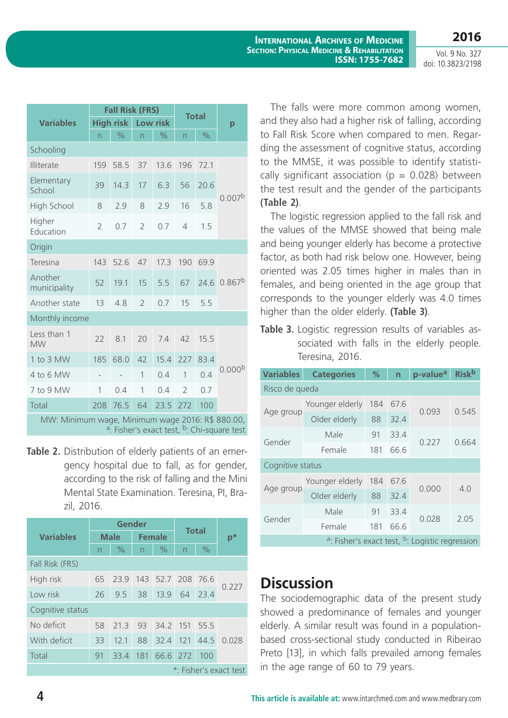Vol. 9 No. 327 doi: 10.3823/2198

**2016**

|                                                                                                                        | <b>Fall Risk (FRS)</b> |               |                         |               |                |               |                    |
|------------------------------------------------------------------------------------------------------------------------|------------------------|---------------|-------------------------|---------------|----------------|---------------|--------------------|
| <b>Variables</b>                                                                                                       | High risk              |               | Low risk                |               | <b>Total</b>   |               | p                  |
|                                                                                                                        | n                      | $\frac{1}{2}$ | $\overline{\mathsf{n}}$ | $\frac{0}{0}$ | n              | $\frac{1}{2}$ |                    |
| Schooling                                                                                                              |                        |               |                         |               |                |               |                    |
| Illiterate                                                                                                             | 159                    | 58.5          | 37                      | 13.6          | 196            | 72.1          | 0.007 <sup>b</sup> |
| Elementary<br>School                                                                                                   | 39                     | 14.3          | 17                      | 6.3           | 56             | 20.6          |                    |
| High School                                                                                                            | 8                      | 2.9           | 8                       | 2.9           | 16             | 5.8           |                    |
| Higher<br>Education                                                                                                    | $\overline{2}$         | 0.7           | $\overline{2}$          | 0.7           | $\overline{4}$ | 1.5           |                    |
| Origin                                                                                                                 |                        |               |                         |               |                |               |                    |
| Teresina                                                                                                               | 143                    | 52.6          | 47                      | 17.3          | 190            | 69.9          | 0.867 <sup>b</sup> |
| Another<br>municipality                                                                                                | 52                     | 19.1          | 15                      | 5.5           | 67             | 24.6          |                    |
| Another state                                                                                                          | 13                     | 4.8           | $\overline{2}$          | 0.7           | 15             | 5.5           |                    |
| Monthly income                                                                                                         |                        |               |                         |               |                |               |                    |
| Less than 1<br><b>MW</b>                                                                                               | 22                     | 8.1           | 20                      | 7.4           | 42             | 15.5          | 0.000 <sup>b</sup> |
| 1 to 3 MW                                                                                                              | 185                    | 68.0          | 42                      | 15.4          | 227            | 83.4          |                    |
| 4 to 6 MW                                                                                                              |                        |               | $\overline{1}$          | 0.4           | $\overline{1}$ | 0.4           |                    |
| 7 to 9 MW                                                                                                              | 1                      | 0.4           | 1                       | 0.4           | $\overline{2}$ | 0.7           |                    |
| Total                                                                                                                  | 208                    | 76.5          | 64                      | 23.5          | 272            | 100           |                    |
| MW: Minimum wage, Minimum wage 2016: R\$ 880.00,<br><sup>a</sup> : Fisher's exact test, <sup>b</sup> : Chi-square test |                        |               |                         |               |                |               |                    |

**Table 2.** Distribution of elderly patients of an emergency hospital due to fall, as for gender, according to the risk of falling and the Mini Mental State Examination. Teresina, PI, Brazil, 2016.

|                        | Gender      |      |                          |                   | <b>Total</b>   |               |       |
|------------------------|-------------|------|--------------------------|-------------------|----------------|---------------|-------|
| <b>Variables</b>       | <b>Male</b> |      | <b>Female</b>            |                   |                |               | $p^*$ |
|                        | n           | $\%$ | $\overline{\phantom{0}}$ | $\frac{0}{0}$     | $\overline{n}$ | $\frac{0}{0}$ |       |
| Fall Risk (FRS)        |             |      |                          |                   |                |               |       |
| High risk              | 65          | 23.9 |                          | 143 52.7 208 76.6 |                |               | 0.227 |
| I ow risk              | 26          | 9.5  | 38                       | 13.9              | 64             | 23.4          |       |
| Cognitive status       |             |      |                          |                   |                |               |       |
| No deficit             | 58          | 21.3 | 93                       | 34.2 151          |                | 55.5          | 0.028 |
| With deficit           | 33          | 12.1 | 88                       | 32.4 121          |                | 44.5          |       |
| Total                  | 91          | 33.4 |                          | 181 66.6 272      |                | 100           |       |
| *: Fisher's exact test |             |      |                          |                   |                |               |       |

The falls were more common among women, and they also had a higher risk of falling, according to Fall Risk Score when compared to men. Regarding the assessment of cognitive status, according to the MMSE, it was possible to identify statistically significant association ( $p = 0.028$ ) between the test result and the gender of the participants **(Table 2)**.

The logistic regression applied to the fall risk and the values of the MMSE showed that being male and being younger elderly has become a protective factor, as both had risk below one. However, being oriented was 2.05 times higher in males than in females, and being oriented in the age group that corresponds to the younger elderly was 4.0 times higher than the older elderly. **(Table 3)**.

**Table 3.** Logistic regression results of variables associated with falls in the elderly people. Teresina, 2016.

| <b>Variables</b>                                                       | <b>Categories</b> | $\frac{9}{6}$ | $\overline{n}$ | p-value <sup>a</sup> | <b>Risk</b> b |  |  |  |  |
|------------------------------------------------------------------------|-------------------|---------------|----------------|----------------------|---------------|--|--|--|--|
| Risco de queda                                                         |                   |               |                |                      |               |  |  |  |  |
| Age group                                                              | Younger elderly   | 184           | 67.6           | 0.093                | 0.545         |  |  |  |  |
|                                                                        | Older elderly     | 88            | 32.4           |                      |               |  |  |  |  |
| Gender                                                                 | Male              | 91            | 33.4           | 0.227                | 0.664         |  |  |  |  |
|                                                                        | Female            | 181           | 66.6           |                      |               |  |  |  |  |
| Cognitive status                                                       |                   |               |                |                      |               |  |  |  |  |
| Age group                                                              | Younger elderly   | 184           | 67.6           | 0.000                | 4.0           |  |  |  |  |
|                                                                        | Older elderly     | 88            | 32.4           |                      |               |  |  |  |  |
| Gender                                                                 | Male              | 91            | 33.4           | 0.028                | 2.05          |  |  |  |  |
|                                                                        | Female            | 181           | 66.6           |                      |               |  |  |  |  |
| <sup>a</sup> : Fisher's exact test, <sup>b</sup> : Logistic regression |                   |               |                |                      |               |  |  |  |  |

# **Discussion**

The sociodemographic data of the present study showed a predominance of females and younger elderly. A similar result was found in a populationbased cross-sectional study conducted in Ribeirao Preto [13], in which falls prevailed among females in the age range of 60 to 79 years.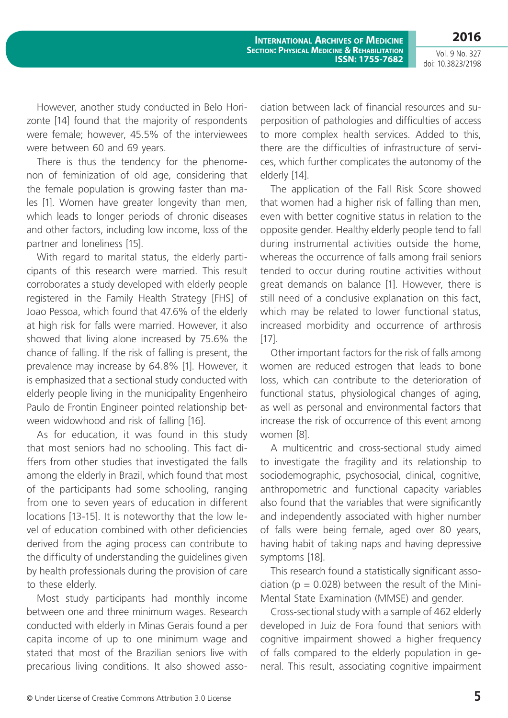Vol. 9 No. 327 doi: 10.3823/2198

**2016**

However, another study conducted in Belo Horizonte [14] found that the majority of respondents were female; however, 45.5% of the interviewees were between 60 and 69 years.

There is thus the tendency for the phenomenon of feminization of old age, considering that the female population is growing faster than males [1]. Women have greater longevity than men, which leads to longer periods of chronic diseases and other factors, including low income, loss of the partner and loneliness [15].

With regard to marital status, the elderly participants of this research were married. This result corroborates a study developed with elderly people registered in the Family Health Strategy [FHS] of Joao Pessoa, which found that 47.6% of the elderly at high risk for falls were married. However, it also showed that living alone increased by 75.6% the chance of falling. If the risk of falling is present, the prevalence may increase by 64.8% [1]. However, it is emphasized that a sectional study conducted with elderly people living in the municipality Engenheiro Paulo de Frontin Engineer pointed relationship between widowhood and risk of falling [16].

As for education, it was found in this study that most seniors had no schooling. This fact differs from other studies that investigated the falls among the elderly in Brazil, which found that most of the participants had some schooling, ranging from one to seven years of education in different locations [13-15]. It is noteworthy that the low level of education combined with other deficiencies derived from the aging process can contribute to the difficulty of understanding the guidelines given by health professionals during the provision of care to these elderly.

Most study participants had monthly income between one and three minimum wages. Research conducted with elderly in Minas Gerais found a per capita income of up to one minimum wage and stated that most of the Brazilian seniors live with precarious living conditions. It also showed association between lack of financial resources and superposition of pathologies and difficulties of access to more complex health services. Added to this, there are the difficulties of infrastructure of services, which further complicates the autonomy of the elderly [14].

The application of the Fall Risk Score showed that women had a higher risk of falling than men, even with better cognitive status in relation to the opposite gender. Healthy elderly people tend to fall during instrumental activities outside the home, whereas the occurrence of falls among frail seniors tended to occur during routine activities without great demands on balance [1]. However, there is still need of a conclusive explanation on this fact, which may be related to lower functional status, increased morbidity and occurrence of arthrosis [17].

Other important factors for the risk of falls among women are reduced estrogen that leads to bone loss, which can contribute to the deterioration of functional status, physiological changes of aging, as well as personal and environmental factors that increase the risk of occurrence of this event among women [8].

A multicentric and cross-sectional study aimed to investigate the fragility and its relationship to sociodemographic, psychosocial, clinical, cognitive, anthropometric and functional capacity variables also found that the variables that were significantly and independently associated with higher number of falls were being female, aged over 80 years, having habit of taking naps and having depressive symptoms [18].

This research found a statistically significant association ( $p = 0.028$ ) between the result of the Mini-Mental State Examination (MMSE) and gender.

Cross-sectional study with a sample of 462 elderly developed in Juiz de Fora found that seniors with cognitive impairment showed a higher frequency of falls compared to the elderly population in general. This result, associating cognitive impairment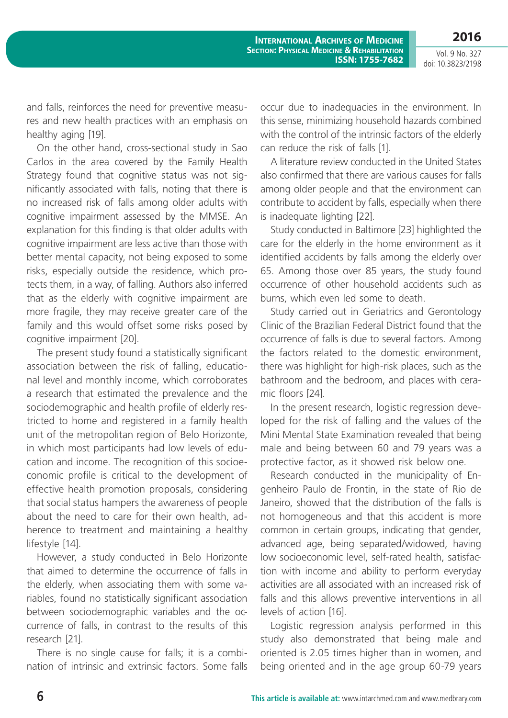**2016** Vol. 9 No. 327

doi: 10.3823/2198

and falls, reinforces the need for preventive measures and new health practices with an emphasis on healthy aging [19].

On the other hand, cross-sectional study in Sao Carlos in the area covered by the Family Health Strategy found that cognitive status was not significantly associated with falls, noting that there is no increased risk of falls among older adults with cognitive impairment assessed by the MMSE. An explanation for this finding is that older adults with cognitive impairment are less active than those with better mental capacity, not being exposed to some risks, especially outside the residence, which protects them, in a way, of falling. Authors also inferred that as the elderly with cognitive impairment are more fragile, they may receive greater care of the family and this would offset some risks posed by cognitive impairment [20].

The present study found a statistically significant association between the risk of falling, educational level and monthly income, which corroborates a research that estimated the prevalence and the sociodemographic and health profile of elderly restricted to home and registered in a family health unit of the metropolitan region of Belo Horizonte, in which most participants had low levels of education and income. The recognition of this socioeconomic profile is critical to the development of effective health promotion proposals, considering that social status hampers the awareness of people about the need to care for their own health, adherence to treatment and maintaining a healthy lifestyle [14].

However, a study conducted in Belo Horizonte that aimed to determine the occurrence of falls in the elderly, when associating them with some variables, found no statistically significant association between sociodemographic variables and the occurrence of falls, in contrast to the results of this research [21].

There is no single cause for falls; it is a combination of intrinsic and extrinsic factors. Some falls

occur due to inadequacies in the environment. In this sense, minimizing household hazards combined with the control of the intrinsic factors of the elderly can reduce the risk of falls [1].

A literature review conducted in the United States also confirmed that there are various causes for falls among older people and that the environment can contribute to accident by falls, especially when there is inadequate lighting [22].

Study conducted in Baltimore [23] highlighted the care for the elderly in the home environment as it identified accidents by falls among the elderly over 65. Among those over 85 years, the study found occurrence of other household accidents such as burns, which even led some to death.

Study carried out in Geriatrics and Gerontology Clinic of the Brazilian Federal District found that the occurrence of falls is due to several factors. Among the factors related to the domestic environment, there was highlight for high-risk places, such as the bathroom and the bedroom, and places with ceramic floors [24].

In the present research, logistic regression developed for the risk of falling and the values of the Mini Mental State Examination revealed that being male and being between 60 and 79 years was a protective factor, as it showed risk below one.

Research conducted in the municipality of Engenheiro Paulo de Frontin, in the state of Rio de Janeiro, showed that the distribution of the falls is not homogeneous and that this accident is more common in certain groups, indicating that gender, advanced age, being separated/widowed, having low socioeconomic level, self-rated health, satisfaction with income and ability to perform everyday activities are all associated with an increased risk of falls and this allows preventive interventions in all levels of action [16].

Logistic regression analysis performed in this study also demonstrated that being male and oriented is 2.05 times higher than in women, and being oriented and in the age group 60-79 years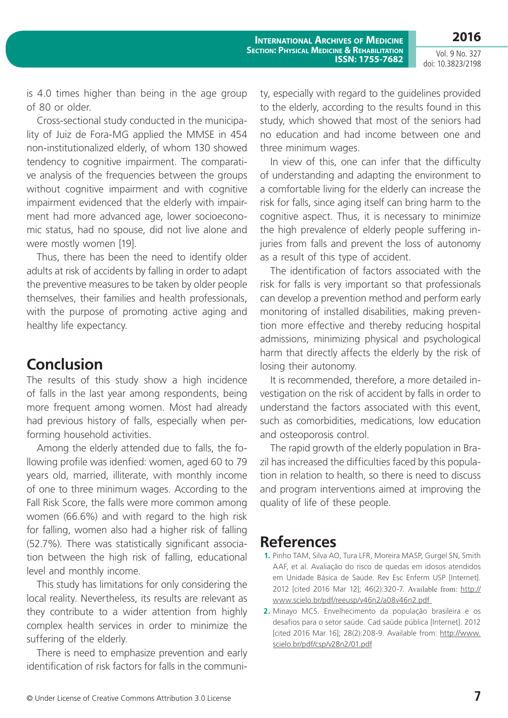**2016**

Vol. 9 No. 327 doi: 10.3823/2198

is 4.0 times higher than being in the age group of 80 or older.

Cross-sectional study conducted in the municipality of Juiz de Fora-MG applied the MMSE in 454 non-institutionalized elderly, of whom 130 showed tendency to cognitive impairment. The comparative analysis of the frequencies between the groups without cognitive impairment and with cognitive impairment evidenced that the elderly with impairment had more advanced age, lower socioeconomic status, had no spouse, did not live alone and were mostly women [19].

Thus, there has been the need to identify older adults at risk of accidents by falling in order to adapt the preventive measures to be taken by older people themselves, their families and health professionals, with the purpose of promoting active aging and healthy life expectancy.

# **Conclusion**

The results of this study show a high incidence of falls in the last year among respondents, being more frequent among women. Most had already had previous history of falls, especially when performing household activities.

Among the elderly attended due to falls, the following profile was idenfied: women, aged 60 to 79 years old, married, illiterate, with monthly income of one to three minimum wages. According to the Fall Risk Score, the falls were more common among women (66.6%) and with regard to the high risk for falling, women also had a higher risk of falling (52.7%). There was statistically significant association between the high risk of falling, educational level and monthly income.

This study has limitations for only considering the local reality. Nevertheless, its results are relevant as they contribute to a wider attention from highly complex health services in order to minimize the suffering of the elderly.

There is need to emphasize prevention and early identification of risk factors for falls in the community, especially with regard to the guidelines provided to the elderly, according to the results found in this study, which showed that most of the seniors had no education and had income between one and three minimum wages.

In view of this, one can infer that the difficulty of understanding and adapting the environment to a comfortable living for the elderly can increase the risk for falls, since aging itself can bring harm to the cognitive aspect. Thus, it is necessary to minimize the high prevalence of elderly people suffering injuries from falls and prevent the loss of autonomy as a result of this type of accident.

The identification of factors associated with the risk for falls is very important so that professionals can develop a prevention method and perform early monitoring of installed disabilities, making prevention more effective and thereby reducing hospital admissions, minimizing physical and psychological harm that directly affects the elderly by the risk of losing their autonomy.

It is recommended, therefore, a more detailed investigation on the risk of accident by falls in order to understand the factors associated with this event, such as comorbidities, medications, low education and osteoporosis control.

The rapid growth of the elderly population in Brazil has increased the difficulties faced by this population in relation to health, so there is need to discuss and program interventions aimed at improving the quality of life of these people.

### **References**

- **1.** Pinho TAM, Silva AO, Tura LFR, Moreira MASP, Gurgel SN, Smith AAF, et al. Avaliação do risco de quedas em idosos atendidos em Unidade Básica de Saúde. Rev Esc Enferm USP [Internet]. 2012 [cited 2016 Mar 12]; 46(2):320-7. Available from: [http://](http://www.scielo.br/pdf/reeusp/v46n2/a08v46n2.pdf) [www.scielo.br/pdf/reeusp/v46n2/a08v46n2.pdf](http://www.scielo.br/pdf/reeusp/v46n2/a08v46n2.pdf)
- **2.** Minayo MCS. Envelhecimento da população brasileira e os desafios para o setor saúde. Cad saúde pública [Internet]. 2012 [cited 2016 Mar 16]; 28(2):208-9. Available from: [http://www.](http://www.scielo.br/pdf/csp/v28n2/01.pdf) [scielo.br/pdf/csp/v28n2/01.pdf](http://www.scielo.br/pdf/csp/v28n2/01.pdf)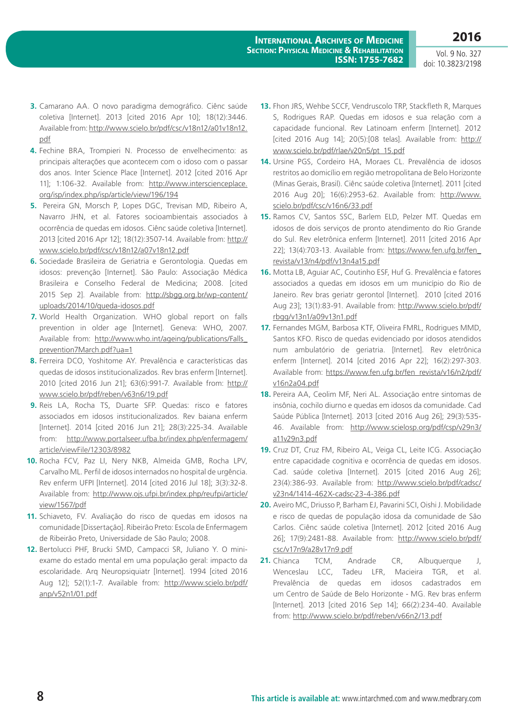Vol. 9 No. 327 doi: 10.3823/2198

- **3.** Camarano AA. O novo paradigma demográfico. Ciênc saúde coletiva [Internet]. 2013 [cited 2016 Apr 10]; 18(12):3446. Available from: [http://www.scielo.br/pdf/csc/v18n12/a01v18n12.](http://www.scielo.br/pdf/csc/v18n12/a01v18n12.pdf) [pdf](http://www.scielo.br/pdf/csc/v18n12/a01v18n12.pdf)
- **4.** Fechine BRA, Trompieri N. Processo de envelhecimento: as principais alterações que acontecem com o idoso com o passar dos anos. Inter Science Place [Internet]. 2012 [cited 2016 Apr 11]; 1:106-32. Available from: [http://www.interscienceplace.](http://www.interscienceplace.org/isp/index.php/isp/article/view/196/194) [org/isp/index.php/isp/article/view/196/194](http://www.interscienceplace.org/isp/index.php/isp/article/view/196/194)
- **5.** Pereira GN, Morsch P, Lopes DGC, Trevisan MD, Ribeiro A, Navarro JHN, et al. Fatores socioambientais associados à ocorrência de quedas em idosos. Ciênc saúde coletiva [Internet]. 2013 [cited 2016 Apr 12]; 18(12):3507-14. Available from: [http://](http://www.scielo.br/pdf/csc/v18n12/a07v18n12.pdf) [www.scielo.br/pdf/csc/v18n12/a07v18n12.pdf](http://www.scielo.br/pdf/csc/v18n12/a07v18n12.pdf)
- **6.** Sociedade Brasileira de Geriatria e Gerontologia. Quedas em idosos: prevenção [Internet]. São Paulo: Associação Médica Brasileira e Conselho Federal de Medicina; 2008. [cited 2015 Sep 2]. Available from: [http://sbgg.org.br/wp-content/](http://sbgg.org.br/wp-content/uploads/2014/10/queda-idosos.pdf) [uploads/2014/10/queda-idosos.pdf](http://sbgg.org.br/wp-content/uploads/2014/10/queda-idosos.pdf)
- **7.** World Health Organization. WHO global report on falls prevention in older age [Internet]. Geneva: WHO, 2007. Available from: [http://www.who.int/ageing/publications/Falls\\_](http://www.who.int/ageing/publications/Falls_prevention7March.pdf?ua=1) [prevention7March.pdf?ua=1](http://www.who.int/ageing/publications/Falls_prevention7March.pdf?ua=1)
- **8.** Ferreira DCO, Yoshitome AY. Prevalência e características das quedas de idosos institucionalizados. Rev bras enferm [Internet]. 2010 [cited 2016 Jun 21]; 63(6):991-7. Available from: [http://](http://www.scielo.br/pdf/reben/v63n6/19.pdf) [www.scielo.br/pdf/reben/v63n6/19.pdf](http://www.scielo.br/pdf/reben/v63n6/19.pdf)
- **9.** Reis LA, Rocha TS, Duarte SFP. Quedas: risco e fatores associados em idosos institucionalizados. Rev baiana enferm [Internet]. 2014 [cited 2016 Jun 21]; 28(3):225-34. Available from: [http://www.portalseer.ufba.br/index.php/enfermagem/](http://www.portalseer.ufba.br/index.php/enfermagem/article/viewFile/12303/8982) [article/viewFile/12303/8982](http://www.portalseer.ufba.br/index.php/enfermagem/article/viewFile/12303/8982)
- **10.** Rocha FCV, Paz LI, Nery NKB, Almeida GMB, Rocha LPV, Carvalho ML. Perfil de idosos internados no hospital de urgência. Rev enferm UFPI [Internet]. 2014 [cited 2016 Jul 18]; 3(3):32-8. Available from: [http://www.ojs.ufpi.br/index.php/reufpi/article/](http://www.ojs.ufpi.br/index.php/reufpi/article/view/1567/pdf) [view/1567/pdf](http://www.ojs.ufpi.br/index.php/reufpi/article/view/1567/pdf)
- **11.** Schiaveto, FV. Avaliação do risco de quedas em idosos na comunidade [Dissertação]. Ribeirão Preto: Escola de Enfermagem de Ribeirão Preto, Universidade de São Paulo; 2008.
- **12.** Bertolucci PHF, Brucki SMD, Campacci SR, Juliano Y. O miniexame do estado mental em uma população geral: impacto da escolaridade. Arq Neuropsiquiatr [Internet]. 1994 [cited 2016 Aug 12]; 52(1):1-7. Available from: [http://www.scielo.br/pdf/](http://www.scielo.br/pdf/anp/v52n1/01.pdf) [anp/v52n1/01.pdf](http://www.scielo.br/pdf/anp/v52n1/01.pdf)
- **13.** Fhon JRS, Wehbe SCCF, Vendruscolo TRP, Stackfleth R, Marques S, Rodrigues RAP. Quedas em idosos e sua relação com a capacidade funcional. Rev Latinoam enferm [Internet]. 2012 [cited 2016 Aug 14]; 20(5):[08 telas]. Available from: [http://](http://www.scielo.br/pdf/rlae/v20n5/pt_15.pdf) [www.scielo.br/pdf/rlae/v20n5/pt\\_15.pdf](http://www.scielo.br/pdf/rlae/v20n5/pt_15.pdf)
- **14.** Ursine PGS, Cordeiro HA, Moraes CL. Prevalência de idosos restritos ao domicílio em região metropolitana de Belo Horizonte (Minas Gerais, Brasil). Ciênc saúde coletiva [Internet]. 2011 [cited 2016 Aug 20]; 16(6):2953-62. Available from: [http://www.](http://www.scielo.br/pdf/csc/v16n6/33.pdf) [scielo.br/pdf/csc/v16n6/33.pdf](http://www.scielo.br/pdf/csc/v16n6/33.pdf)
- **15.** Ramos CV, Santos SSC, Barlem ELD, Pelzer MT. Quedas em idosos de dois serviços de pronto atendimento do Rio Grande do Sul. Rev eletrônica enferm [Internet]. 2011 [cited 2016 Apr 22]; 13(4):703-13. Available from: [https://www.fen.ufg.br/fen\\_](https://www.fen.ufg.br/fen_revista/v13/n4/pdf/v13n4a15.pdf) [revista/v13/n4/pdf/v13n4a15.pdf](https://www.fen.ufg.br/fen_revista/v13/n4/pdf/v13n4a15.pdf)
- **16.** Motta LB, Aguiar AC, Coutinho ESF, Huf G. Prevalência e fatores associados a quedas em idosos em um município do Rio de Janeiro. Rev bras geriatr gerontol [Internet]. 2010 [cited 2016 Aug 23]; 13(1):83-91. Available from: [http://www.scielo.br/pdf/](http://www.scielo.br/pdf/rbgg/v13n1/a09v13n1.pdf) [rbgg/v13n1/a09v13n1.pdf](http://www.scielo.br/pdf/rbgg/v13n1/a09v13n1.pdf)
- **17.** Fernandes MGM, Barbosa KTF, Oliveira FMRL, Rodrigues MMD, Santos KFO. Risco de quedas evidenciado por idosos atendidos num ambulatório de geriatria. [Internet]. Rev eletrônica enferm [Internet]. 2014 [cited 2016 Apr 22]; 16(2):297-303. Available from: [https://www.fen.ufg.br/fen\\_revista/v16/n2/pdf/](https://www.fen.ufg.br/fen_revista/v16/n2/pdf/v16n2a04.pdf) [v16n2a04.pdf](https://www.fen.ufg.br/fen_revista/v16/n2/pdf/v16n2a04.pdf)
- **18.** Pereira AA, Ceolim MF, Neri AL. Associação entre sintomas de insônia, cochilo diurno e quedas em idosos da comunidade. Cad Saúde Pública [Internet]. 2013 [cited 2016 Aug 26]; 29(3):535- 46. Available from: [http://www.scielosp.org/pdf/csp/v29n3/](http://www.scielosp.org/pdf/csp/v29n3/a11v29n3.pdf) [a11v29n3.pdf](http://www.scielosp.org/pdf/csp/v29n3/a11v29n3.pdf)
- **19.** Cruz DT, Cruz FM, Ribeiro AL, Veiga CL, Leite ICG. Associação entre capacidade cognitiva e ocorrência de quedas em idosos. Cad. saúde coletiva [Internet]. 2015 [cited 2016 Aug 26]; 23(4):386-93. Available from: [http://www.scielo.br/pdf/cadsc/](http://www.scielo.br/pdf/cadsc/v23n4/1414-462X-cadsc-23-4-386.pdf) [v23n4/1414-462X-cadsc-23-4-386.pdf](http://www.scielo.br/pdf/cadsc/v23n4/1414-462X-cadsc-23-4-386.pdf)
- **20.** Aveiro MC, Driusso P, Barham EJ, Pavarini SCI, Oishi J. Mobilidade e risco de quedas de população idosa da comunidade de São Carlos. Ciênc saúde coletiva [Internet]. 2012 [cited 2016 Aug 26]; 17(9):2481-88. Available from: [http://www.scielo.br/pdf/](http://www.scielo.br/pdf/csc/v17n9/a28v17n9.pdf) [csc/v17n9/a28v17n9.pdf](http://www.scielo.br/pdf/csc/v17n9/a28v17n9.pdf)
- **21.** Chianca TCM, Andrade CR, Albuquerque J, Wenceslau LCC, Tadeu LFR, Macieira TGR, et al. Prevalência de quedas em idosos cadastrados em um Centro de Saúde de Belo Horizonte - MG. Rev bras enferm [Internet]. 2013 [cited 2016 Sep 14]; 66(2):234-40. Available from:<http://www.scielo.br/pdf/reben/v66n2/13.pdf>